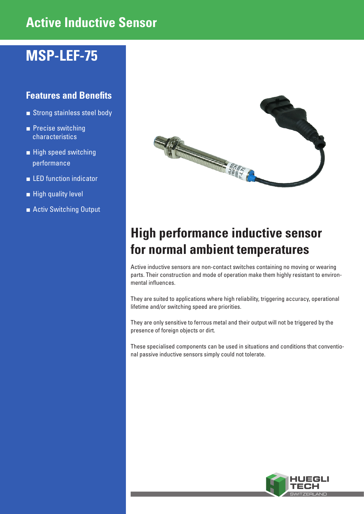# **Active Inductive Sensor**

### **MSP-LEF-75**

### **Features and Benefits**

- Strong stainless steel body
- Precise switching characteristics
- **■** High speed switching performance
- **■** LED function indicator
- High quality level
- **■** Activ Switching Output



# **High performance inductive sensor for normal ambient temperatures**

Active inductive sensors are non-contact switches containing no moving or wearing parts. Their construction and mode of operation make them highly resistant to environmental influences.

They are suited to applications where high reliability, triggering accuracy, operational lifetime and/or switching speed are priorities.

They are only sensitive to ferrous metal and their output will not be triggered by the presence of foreign objects or dirt.

These specialised components can be used in situations and conditions that conventional passive inductive sensors simply could not tolerate.